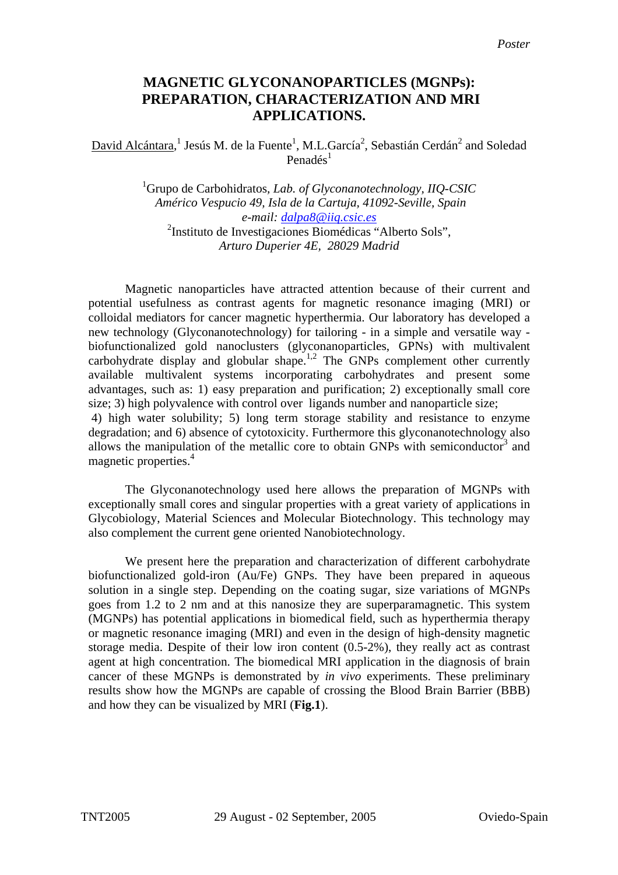## **MAGNETIC GLYCONANOPARTICLES (MGNPs): PREPARATION, CHARACTERIZATION AND MRI APPLICATIONS.**

 $David Alcántara, <sup>1</sup> Jesús M. de la Fuente<sup>1</sup>, M.L.García<sup>2</sup>, Sebastián Cerdán<sup>2</sup> and Soledad$ Penadés $<sup>1</sup>$ </sup>

> 1 Grupo de Carbohidratos*, Lab. of Glyconanotechnology, IIQ-CSIC Américo Vespucio 49, Isla de la Cartuja, 41092-Seville, Spain e-mail: [dalpa8@iiq.csic.es](mailto:penades@cica.es)* <sup>2</sup>Instituto de Investigaciones Biomédicas "Alberto Sols", *Arturo Duperier 4E, 28029 Madrid*

Magnetic nanoparticles have attracted attention because of their current and potential usefulness as contrast agents for magnetic resonance imaging (MRI) or colloidal mediators for cancer magnetic hyperthermia. Our laboratory has developed a new technology (Glyconanotechnology) for tailoring - in a simple and versatile way biofunctionalized gold nanoclusters (glyconanoparticles, GPNs) with multivalent carbohydrate display and globular shape.<sup>1,2</sup> The GNPs complement other currently available multivalent systems incorporating carbohydrates and present some advantages, such as: 1) easy preparation and purification; 2) exceptionally small core size; 3) high polyvalence with control over ligands number and nanoparticle size; 4) high water solubility; 5) long term storage stability and resistance to enzyme degradation; and 6) absence of cytotoxicity. Furthermore this glyconanotechnology also allows the manipulation of the metallic core to obtain GNPs with semiconductor<sup>3</sup> and magnetic properties.<sup>4</sup>

The Glyconanotechnology used here allows the preparation of MGNPs with exceptionally small cores and singular properties with a great variety of applications in Glycobiology, Material Sciences and Molecular Biotechnology. This technology may also complement the current gene oriented Nanobiotechnology.

We present here the preparation and characterization of different carbohydrate biofunctionalized gold-iron (Au/Fe) GNPs. They have been prepared in aqueous solution in a single step. Depending on the coating sugar, size variations of MGNPs goes from 1.2 to 2 nm and at this nanosize they are superparamagnetic. This system (MGNPs) has potential applications in biomedical field, such as hyperthermia therapy or magnetic resonance imaging (MRI) and even in the design of high-density magnetic storage media. Despite of their low iron content (0.5-2%), they really act as contrast agent at high concentration. The biomedical MRI application in the diagnosis of brain cancer of these MGNPs is demonstrated by *in vivo* experiments. These preliminary results show how the MGNPs are capable of crossing the Blood Brain Barrier (BBB) and how they can be visualized by MRI (**Fig.1**).